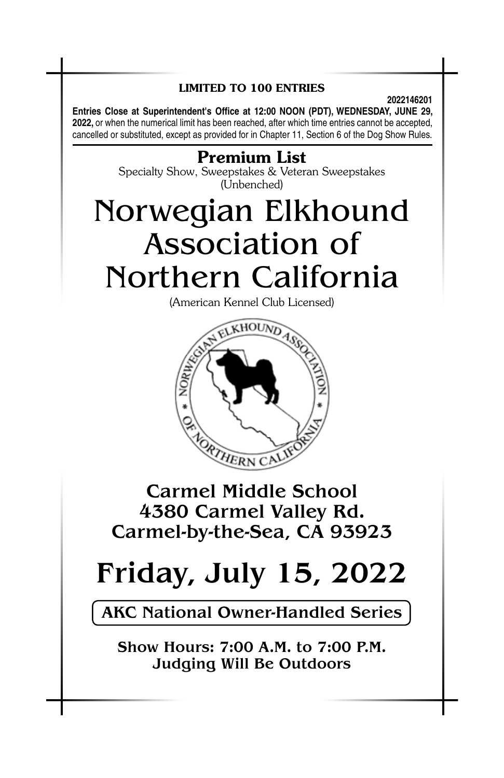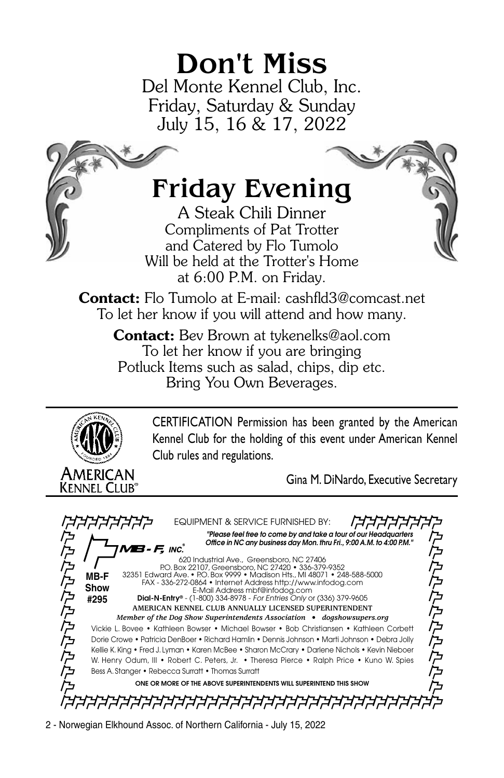## Don't Miss

Del Monte Kennel Club, Inc. Friday, Saturday & Sunday July 15, 16 & 17, 2022

## Friday Evening

A Steak Chili Dinner Compliments of Pat Trotter and Catered by Flo Tumolo Will be held at the Trotter's Home at 6:00 P.M. on Friday.

Contact: Flo Tumolo at E-mail: cashfld3@comcast.net To let her know if you will attend and how many.

Contact: Bev Brown at tykenelks@aol.com To let her know if you are bringing Potluck Items such as salad, chips, dip etc. Bring You Own Beverages.



CERTIFICATION Permission has been granted by the American Kennel Club for the holding of this event under American Kennel Club rules and regulations.

Gina M. DiNardo, Executive Secretary

*ㅋㅋㅋㅋㅋㅋ* Equipment & Service Furnished By: "Please feel free to come by and take a tour of our Headquarters<br>Office in NC any business day Mon. thru Fri., 9:00 A.M. to 4:00 P.M." トウクタクタクタクス **/B - F,** inc. にんたんたんたんた 620 Industrial Ave., Greensboro, NC 27406 P.O. Box 22107, Greensboro, NC 27420 • 336-379-9352 32351 Edward Ave. • P.O. Box 9999 • Madison Hts., MI 48071 • 248-588-5000 FAX - 336-272-0864 • Internet Address http://www.infodog.com **MB-F Show** E-Mail Address mbf@infodog.com **#295** Dial-N-Entry® - (1-800) 334-8978 - *For Entries Only* or (336) 379-9605 **American Kennel Club Annually Licensed Superintendent** *Member of the Dog Show Superintendents Association • dogshowsupers.org* Vickie L. Bovee • Kathleen Bowser • Michael Bowser • Bob Christiansen • Kathleen Corbett Dorie Crowe • Patricia DenBoer • Richard Hamlin • Dennis Johnson • Marti Johnson • Debra Jolly Kellie K. King • Fred J. Lyman • Karen McBee • Sharon McCrary • Darlene Nichols • Kevin Nieboer W. Henry Odum, III • Robert C. Peters, Jr. • Theresa Pierce • Ralph Price • Kuno W. Spies Bess A. Stanger • Rebecca Surratt • Thomas Surratt One Or More Of The Above Superintendents Will Superintend This Show *ארארארארא* רבבבבבבבב

2 - Norwegian Elkhound Assoc. of Northern California - July 15, 2022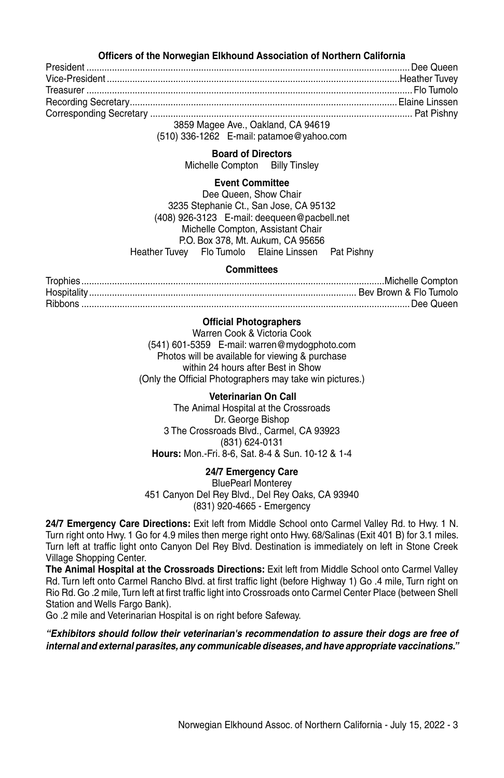#### **Officers of the Norwegian Elkhound Association of Northern California**

President ...............................................................................................................................Dee Queen Vice-President ...................................................................................................................Heather Tuvey Treasurer ................................................................................................................................Flo Tumolo Recording Secretary.........................................................................................................Elaine Linssen Corresponding Secretary ....................................................................................................... Pat Pishny 3859 Magee Ave., Oakland, CA 94619

(510) 336-1262 E-mail: patamoe@yahoo.com

#### **Board of Directors**

Michelle Compton Billy Tinsley

#### **Event Committee**

Dee Queen, Show Chair 3235 Stephanie Ct., San Jose, CA 95132 (408) 926-3123 E-mail: deequeen@pacbell.net Michelle Compton, Assistant Chair P.O. Box 378, Mt. Aukum, CA 95656 Heather Tuvey Flo Tumolo Elaine Linssen Pat Pishny

#### **Committees**

Trophies.......................................................................................................................Michelle Compton Hospitality......................................................................................................... Bev Brown & Flo Tumolo Ribbons .................................................................................................................................Dee Queen

#### **Official Photographers**

Warren Cook & Victoria Cook (541) 601-5359 E-mail: warren@mydogphoto.com Photos will be available for viewing & purchase within 24 hours after Best in Show (Only the Official Photographers may take win pictures.)

#### **Veterinarian On Call**

The Animal Hospital at the Crossroads Dr. George Bishop 3 The Crossroads Blvd., Carmel, CA 93923 (831) 624-0131 **Hours:** Mon.-Fri. 8-6, Sat. 8-4 & Sun. 10-12 & 1-4

**24/7 Emergency Care** BluePearl Monterey 451 Canyon Del Rey Blvd., Del Rey Oaks, CA 93940 (831) 920-4665 - Emergency

**24/7 Emergency Care Directions:** Exit left from Middle School onto Carmel Valley Rd. to Hwy. 1 N. Turn right onto Hwy. 1 Go for 4.9 miles then merge right onto Hwy. 68/Salinas (Exit 401 B) for 3.1 miles. Turn left at traffic light onto Canyon Del Rey Blvd. Destination is immediately on left in Stone Creek Village Shopping Center.

**The Animal Hospital at the Crossroads Directions:** Exit left from Middle School onto Carmel Valley Rd. Turn left onto Carmel Rancho Blvd. at first traffic light (before Highway 1) Go .4 mile, Turn right on Rio Rd. Go .2 mile, Turn left at first traffic light into Crossroads onto Carmel Center Place (between Shell Station and Wells Fargo Bank).

Go .2 mile and Veterinarian Hospital is on right before Safeway.

*"Exhibitors should follow their veterinarian's recommendation to assure their dogs are free of internal and external parasites, any communicable diseases, and have appropriate vaccinations."*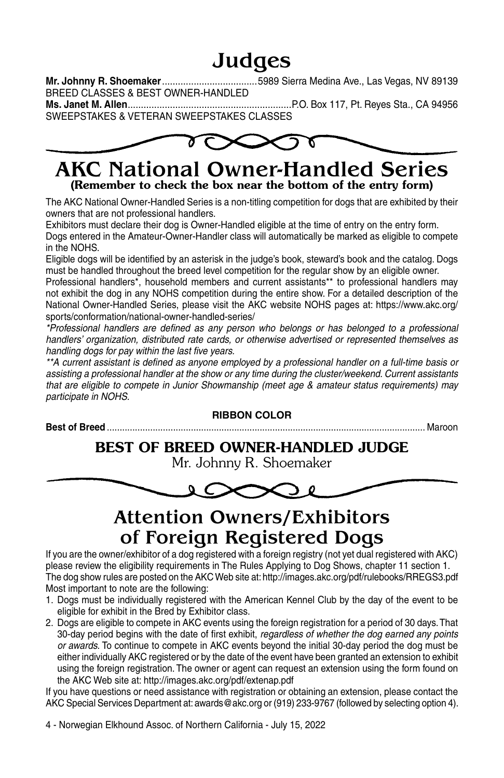### Judges

**Mr. Johnny R. Shoemaker**....................................5989 Sierra Medina Ave., Las Vegas, NV 89139 BREED CLASSES & BEST OWNER-HANDLED

**Ms. Janet M. Allen**..............................................................P.O. Box 117, Pt. Reyes Sta., CA 94956 SWEEPSTAKES & VETERAN SWEEPSTAKES CLASSES



### AKC National Owner-Handled Series (Remember to check the box near the bottom of the entry form)

The AKC National Owner-Handled Series is a non-titling competition for dogs that are exhibited by their owners that are not professional handlers.

Exhibitors must declare their dog is Owner-Handled eligible at the time of entry on the entry form. Dogs entered in the Amateur-Owner-Handler class will automatically be marked as eligible to compete in the NOHS.

Eligible dogs will be identified by an asterisk in the judge's book, steward's book and the catalog. Dogs must be handled throughout the breed level competition for the regular show by an eligible owner.

Professional handlers\*, household members and current assistants\*\* to professional handlers may not exhibit the dog in any NOHS competition during the entire show. For a detailed description of the National Owner-Handled Series, please visit the AKC website NOHS pages at: https://www.akc.org/ sports/conformation/national-owner-handled-series/

*\*Professional handlers are defined as any person who belongs or has belonged to a professional handlers' organization, distributed rate cards, or otherwise advertised or represented themselves as handling dogs for pay within the last five years.*

*\*\*A current assistant is defined as anyone employed by a professional handler on a full-time basis or assisting a professional handler at the show or any time during the cluster/weekend. Current assistants that are eligible to compete in Junior Showmanship (meet age & amateur status requirements) may participate in NOHS.*

### **RIBBON COLOR Best of Breed** ............................................................................................................................. Maroon Best OF BREED Owner-Handled JUDGE Mr. Johnny R. Shoemaker

### Attention Owners/Exhibitors of Foreign Registered Dogs

If you are the owner/exhibitor of a dog registered with a foreign registry (not yet dual registered with AKC) please review the eligibility requirements in The Rules Applying to Dog Shows, chapter 11 section 1. The dog show rules are posted on the AKC Web site at: http://images.akc.org/pdf/rulebooks/RREGS3.pdf Most important to note are the following:

- 1. Dogs must be individually registered with the American Kennel Club by the day of the event to be eligible for exhibit in the Bred by Exhibitor class.
- 2. Dogs are eligible to compete in AKC events using the foreign registration for a period of 30 days. That 30-day period begins with the date of first exhibit, *regardless of whether the dog earned any points or awards.* To continue to compete in AKC events beyond the initial 30-day period the dog must be either individually AKC registered or by the date of the event have been granted an extension to exhibit using the foreign registration. The owner or agent can request an extension using the form found on the AKC Web site at: http://images.akc.org/pdf/extenap.pdf

If you have questions or need assistance with registration or obtaining an extension, please contact the AKC Special Services Department at: awards@akc.org or (919) 233-9767 (followed by selecting option 4).

4 - Norwegian Elkhound Assoc. of Northern California - July 15, 2022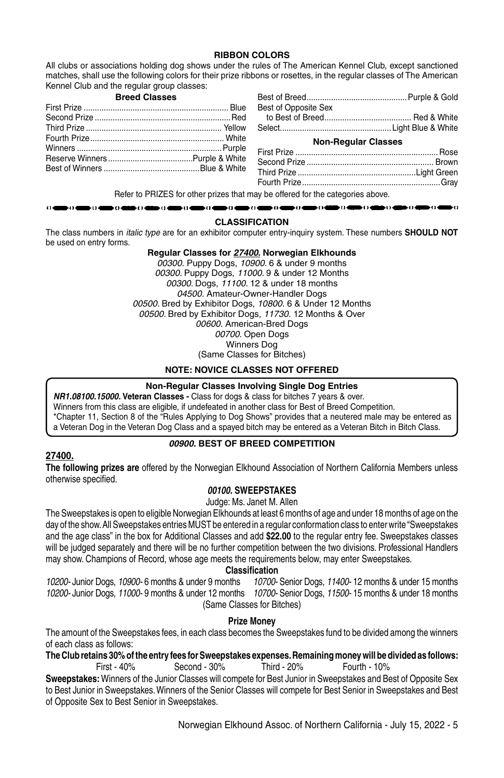#### **RIBBON COLORS**

All clubs or associations holding dog shows under the rules of The American Kennel Club, except sanctioned matches, shall use the following colors for their prize ribbons or rosettes, in the regular classes of The American Kennel Club and the regular group classes:

#### **Breed Classes**

. . . . . . .

 $\bullet$  () and () of

| Best of Opposite Sex |  |
|----------------------|--|
|                      |  |
|                      |  |

#### **Non-Regular Classes**

| $\mathbf{r}$ , and the set of the set of the set of the set of the set of the set of the set of the set of the set of the set of the set of the set of the set of the set of the set of the set of the set of the set of the set |  |
|----------------------------------------------------------------------------------------------------------------------------------------------------------------------------------------------------------------------------------|--|

Refer to PRIZES for other prizes that may be offered for the categories above. ∍o⊲

#### **CLASSIFICATION**

bo e  $\bullet$ -04 ь по ⊪oe  $\mathbf{F}$ 

The class numbers in *italic type* are for an exhibitor computer entry-inquiry system. These numbers **SHOULD NOT**  be used on entry forms.

s o e

#### **Regular Classes for** *27400***. Norwegian Elkhounds**

*00300.* Puppy Dogs, *10900*. 6 & under 9 months *00300.* Puppy Dogs, *11000.* 9 & under 12 Months *00300*. Dogs, *11100*. 12 & under 18 months *04500.* Amateur-Owner-Handler Dogs *00500.* Bred by Exhibitor Dogs, *10800.* 6 & Under 12 Months *00500.* Bred by Exhibitor Dogs, *11730.* 12 Months & Over *00600.* American-Bred Dogs *00700*. Open Dogs Winners Dog (Same Classes for Bitches)

#### **NOTE: NOVICE CLASSES NOT OFFERED**

#### **Non-Regular Classes Involving Single Dog Entries**

*NR1.08100.15000.* **Veteran Classes -** Class for dogs & class for bitches 7 years & over. Winners from this class are eligible, if undefeated in another class for Best of Breed Competition. \*Chapter 11, Section 8 of the "Rules Applying to Dog Shows" provides that a neutered male may be entered as a Veteran Dog in the Veteran Dog Class and a spayed bitch may be entered as a Veteran Bitch in Bitch Class.

#### *00900.* **BEST OF BREED COMPETITION**

#### **27400.**

**The following prizes are** offered by the Norwegian Elkhound Association of Northern California Members unless otherwise specified.

#### *00100.* **SWEEPSTAKES**

Judge: Ms. Janet M. Allen

The Sweepstakes is open to eligible Norwegian Elkhounds at least 6 months of age and under 18 months of age on the day of the show. All Sweepstakes entries MUST be entered in a regular conformation class to enter write "Sweepstakes and the age class" in the box for Additional Classes and add **\$22.00** to the regular entry fee. Sweepstakes classes will be judged separately and there will be no further competition between the two divisions. Professional Handlers may show. Champions of Record, whose age meets the requirements below, may enter Sweepstakes.

#### **Classification**

*10200-* Junior Dogs, *10900-* 6 months & under 9 months *10700-* Senior Dogs, *11400-* 12 months & under 15 months *10200-* Junior Dogs, *11000-* 9 months & under 12 months *10700-* Senior Dogs, *11500-* 15 months & under 18 months (Same Classes for Bitches)

#### **Prize Money**

The amount of the Sweepstakes fees, in each class becomes the Sweepstakes fund to be divided among the winners of each class as follows:

**The Club retains 30% of the entry fees for Sweepstakes expenses. Remaining money will be divided as follows:**  $Second - 30%$ 

**Sweepstakes:** Winners of the Junior Classes will compete for Best Junior in Sweepstakes and Best of Opposite Sex to Best Junior in Sweepstakes. Winners of the Senior Classes will compete for Best Senior in Sweepstakes and Best of Opposite Sex to Best Senior in Sweepstakes.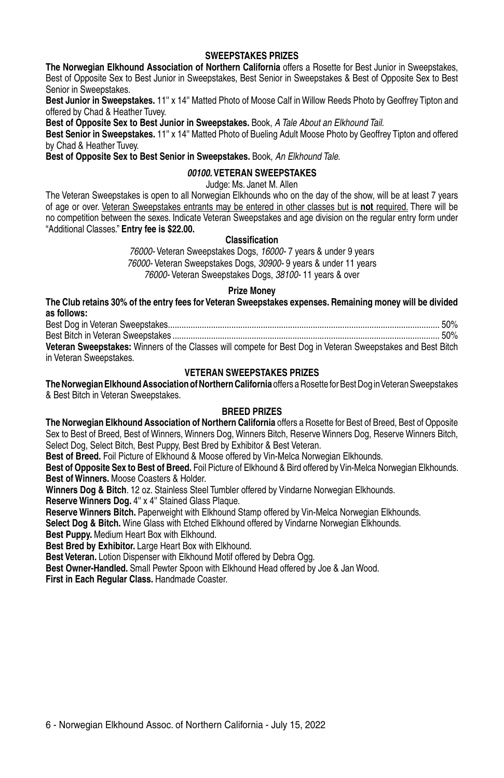#### **SWEEPSTAKES PRIZES**

**The Norwegian Elkhound Association of Northern California** offers a Rosette for Best Junior in Sweepstakes, Best of Opposite Sex to Best Junior in Sweepstakes, Best Senior in Sweepstakes & Best of Opposite Sex to Best Senior in Sweepstakes.

**Best Junior in Sweepstakes.** 11'' x 14'' Matted Photo of Moose Calf in Willow Reeds Photo by Geoffrey Tipton and offered by Chad & Heather Tuvey.

**Best of Opposite Sex to Best Junior in Sweepstakes.** Book, *A Tale About an Elkhound Tail*.

**Best Senior in Sweepstakes.** 11'' x 14'' Matted Photo of Bueling Adult Moose Photo by Geoffrey Tipton and offered by Chad & Heather Tuvey.

**Best of Opposite Sex to Best Senior in Sweepstakes.** Book, *An Elkhound Tale.*

#### *00100.* **VETERAN SWEEPSTAKES**

Judge: Ms. Janet M. Allen

The Veteran Sweepstakes is open to all Norwegian Elkhounds who on the day of the show, will be at least 7 years of age or over. Veteran Sweepstakes entrants may be entered in other classes but is **not** required. There will be no competition between the sexes. Indicate Veteran Sweepstakes and age division on the regular entry form under "Additional Classes." **Entry fee is \$22.00.**

#### **Classification**

*76000-* Veteran Sweepstakes Dogs, *16000-* 7 years & under 9 years *76000-* Veteran Sweepstakes Dogs, *30900-* 9 years & under 11 years *76000-* Veteran Sweepstakes Dogs, *38100-* 11 years & over

#### **Prize Money**

**The Club retains 30% of the entry fees for Veteran Sweepstakes expenses. Remaining money will be divided as follows:**

Best Dog in Veteran Sweepstakes........................................................................................................................ 50% Best Bitch in Veteran Sweepstakes ...................................................................................................................... 50% **Veteran Sweepstakes:** Winners of the Classes will compete for Best Dog in Veteran Sweepstakes and Best Bitch in Veteran Sweepstakes.

#### **VETERAN SWEEPSTAKES PRIZES**

**The Norwegian Elkhound Association of Northern California** offers a Rosette for Best Dog in Veteran Sweepstakes & Best Bitch in Veteran Sweepstakes.

#### **BREED PRIZES**

**The Norwegian Elkhound Association of Northern California** offers a Rosette for Best of Breed, Best of Opposite Sex to Best of Breed, Best of Winners, Winners Dog, Winners Bitch, Reserve Winners Dog, Reserve Winners Bitch, Select Dog, Select Bitch, Best Puppy, Best Bred by Exhibitor & Best Veteran.

**Best of Breed.** Foil Picture of Elkhound & Moose offered by Vin-Melca Norwegian Elkhounds.

**Best of Opposite Sex to Best of Breed.** Foil Picture of Elkhound & Bird offered by Vin-Melca Norwegian Elkhounds. **Best of Winners.** Moose Coasters & Holder.

**Winners Dog & Bitch**. 12 oz. Stainless Steel Tumbler offered by Vindarne Norwegian Elkhounds.

**Reserve Winners Dog.** 4'' x 4'' Stained Glass Plaque.

**Reserve Winners Bitch.** Paperweight with Elkhound Stamp offered by Vin-Melca Norwegian Elkhounds.

**Select Dog & Bitch.** Wine Glass with Etched Elkhound offered by Vindarne Norwegian Elkhounds.

**Best Puppy.** Medium Heart Box with Elkhound.

**Best Bred by Exhibitor.** Large Heart Box with Elkhound.

**Best Veteran.** Lotion Dispenser with Elkhound Motif offered by Debra Ogg.

**Best Owner-Handled.** Small Pewter Spoon with Elkhound Head offered by Joe & Jan Wood.

**First in Each Regular Class.** Handmade Coaster.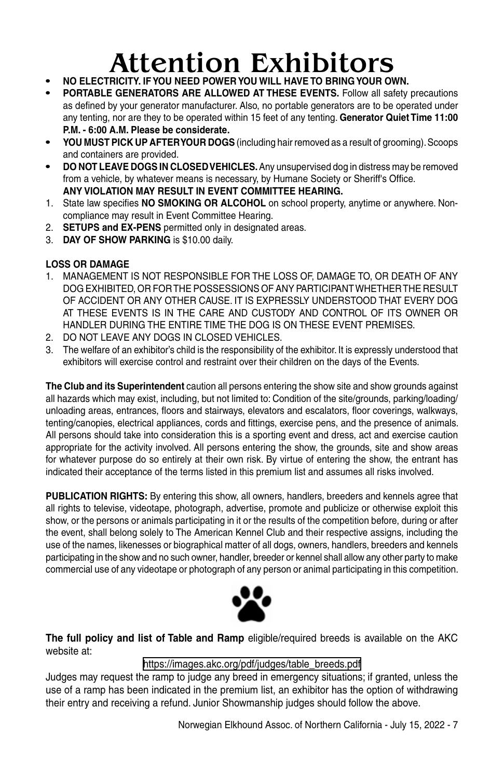# **Attention Exhibitors •• Authority. •• YOU NEED POWER YOU WILL HAVE TO BRING YOUR OWN.**

- 
- **• Portable Generators are allowed at these events.** Follow all safety precautions as defined by your generator manufacturer. Also, no portable generators are to be operated under any tenting, nor are they to be operated within 15 feet of any tenting. **Generator Quiet Time 11:00 P.M. - 6:00 A.M. Please be considerate.**
- **• YOU MUST PICK UP AFTER YOUR DOGS** (including hair removed as a result of grooming). Scoops and containers are provided.
- **• DO NOT LEAVE DOGS IN CLOSED VEHICLES.** Any unsupervised dog in distress may be removed from a vehicle, by whatever means is necessary, by Humane Society or Sheriff's Office. **ANY VIOLATION MAY RESULT IN EVENT COMMITTEE HEARING.**
- 1. State law specifies **NO SMOKING OR ALCOHOL** on school property, anytime or anywhere. Noncompliance may result in Event Committee Hearing.
- 2. **SETUPS and EX-PENS** permitted only in designated areas.
- 3. **DAY OF SHOW PARKING** is \$10.00 daily.

#### **LOSS OR DAMAGE**

- 1. MANAGEMENT IS NOT RESPONSIBLE FOR THE LOSS OF, DAMAGE TO, OR DEATH OF ANY DOG EXHIBITED, OR FOR THE POSSESSIONS OF ANY PARTICIPANT WHETHER THE RESULT OF ACCIDENT OR ANY OTHER CAUSE. IT IS EXPRESSLY UNDERSTOOD THAT EVERY DOG AT THESE EVENTS IS IN THE CARE AND CUSTODY AND CONTROL OF ITS OWNER OR HANDLER DURING THE ENTIRE TIME THE DOG IS ON THESE EVENT PREMISES.
- 2. DO NOT LEAVE ANY DOGS IN CLOSED VEHICLES.
- 3. The welfare of an exhibitor's child is the responsibility of the exhibitor. It is expressly understood that exhibitors will exercise control and restraint over their children on the days of the Events.

**The Club and its Superintendent** caution all persons entering the show site and show grounds against all hazards which may exist, including, but not limited to: Condition of the site/grounds, parking/loading/ unloading areas, entrances, floors and stairways, elevators and escalators, floor coverings, walkways, tenting/canopies, electrical appliances, cords and fittings, exercise pens, and the presence of animals. All persons should take into consideration this is a sporting event and dress, act and exercise caution appropriate for the activity involved. All persons entering the show, the grounds, site and show areas for whatever purpose do so entirely at their own risk. By virtue of entering the show, the entrant has indicated their acceptance of the terms listed in this premium list and assumes all risks involved.

**PUBLICATION RIGHTS:** By entering this show, all owners, handlers, breeders and kennels agree that all rights to televise, videotape, photograph, advertise, promote and publicize or otherwise exploit this show, or the persons or animals participating in it or the results of the competition before, during or after the event, shall belong solely to The American Kennel Club and their respective assigns, including the use of the names, likenesses or biographical matter of all dogs, owners, handlers, breeders and kennels participating in the show and no such owner, handler, breeder or kennel shall allow any other party to make commercial use of any videotape or photograph of any person or animal participating in this competition.



**The full policy and list of Table and Ramp** eligible/required breeds is available on the AKC website at:

#### https://images.akc.org/pdf/judges/table\_breeds.pdf

Judges may request the ramp to judge any breed in emergency situations; if granted, unless the use of a ramp has been indicated in the premium list, an exhibitor has the option of withdrawing their entry and receiving a refund. Junior Showmanship judges should follow the above.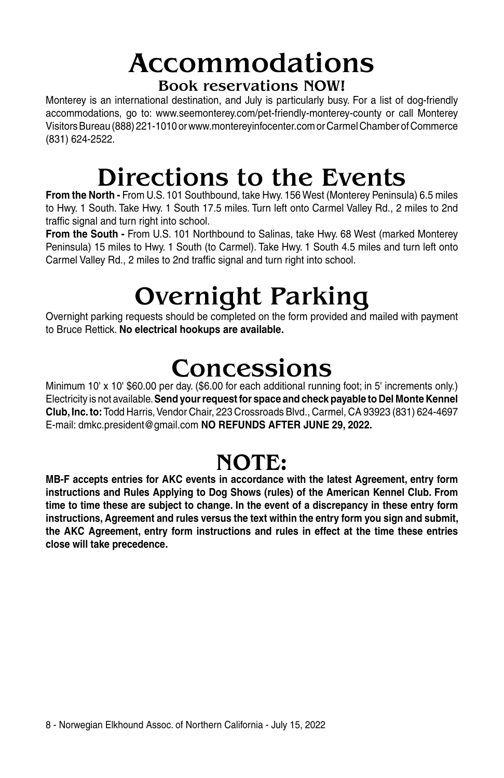### Accommodations Book reservations NOW!

Monterey is an international destination, and July is particularly busy. For a list of dog-friendly accommodations, go to: www.seemonterey.com/pet-friendly-monterey-county or call Monterey Visitors Bureau (888) 221-1010 or www.montereyinfocenter.com or Carmel Chamber of Commerce (831) 624-2522.

## Directions to the Events

**From the North -** From U.S. 101 Southbound, take Hwy. 156 West (Monterey Peninsula) 6.5 miles to Hwy. 1 South. Take Hwy. 1 South 17.5 miles. Turn left onto Carmel Valley Rd., 2 miles to 2nd traffic signal and turn right into school.

**From the South -** From U.S. 101 Northbound to Salinas, take Hwy. 68 West (marked Monterey Peninsula) 15 miles to Hwy. 1 South (to Carmel). Take Hwy. 1 South 4.5 miles and turn left onto Carmel Valley Rd., 2 miles to 2nd traffic signal and turn right into school.

## Overnight Parking

Overnight parking requests should be completed on the form provided and mailed with payment to Bruce Rettick. **No electrical hookups are available.**

## **Concessions**

Minimum 10' x 10' \$60.00 per day. (\$6.00 for each additional running foot; in 5' increments only.) Electricity is not available. **Send your request for space and check payable to Del Monte Kennel Club, Inc. to:** Todd Harris, Vendor Chair, 223 Crossroads Blvd., Carmel, CA 93923 (831) 624-4697 E-mail: dmkc.president@gmail.com **NO REFUNDS AFTER JUNE 29, 2022.**

### NOTE:

**MB-F accepts entries for AKC events in accordance with the latest Agreement, entry form instructions and Rules Applying to Dog Shows (rules) of the American Kennel Club. From time to time these are subject to change. In the event of a discrepancy in these entry form instructions, Agreement and rules versus the text within the entry form you sign and submit, the AKC Agreement, entry form instructions and rules in effect at the time these entries close will take precedence.**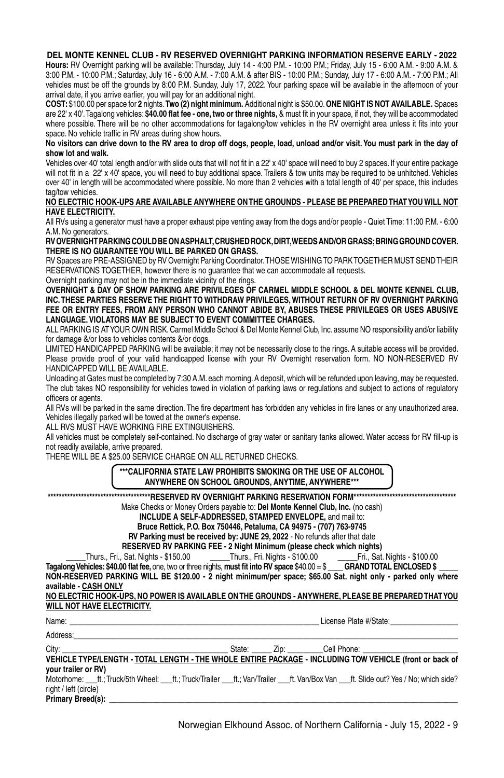#### **DEL MONTE KENNEL CLUB - RV RESERVED OVERNIGHT PARKING INFORMATION RESERVE EARLY - 2022**

**Hours:** RV Overnight parking will be available: Thursday, July 14 - 4:00 P.M. - 10:00 P.M.; Friday, July 15 - 6:00 A.M. - 9:00 A.M. & 3:00 P.M. - 10:00 P.M.; Saturday, July 16 - 6:00 A.M. - 7:00 A.M. & after BIS - 10:00 P.M.; Sunday, July 17 - 6:00 A.M. - 7:00 P.M.; All vehicles must be off the grounds by 8:00 P.M. Sunday, July 17, 2022. Your parking space will be available in the afternoon of your arrival date, if you arrive earlier, you will pay for an additional night.

**COST:** \$100.00 per space for **2** nights. **Two (2) night minimum.** Additional night is \$50.00. **ONE NIGHT IS NOT AVAILABLE.** Spaces are 22' x 40'. Tagalong vehicles: **\$40.00 flat fee - one, two or three nights,** & must fit in your space, if not, they will be accommodated where possible. There will be no other accommodations for tagalong/tow vehicles in the RV overnight area unless it fits into your space. No vehicle traffic in RV areas during show hours.

#### **No visitors can drive down to the RV area to drop off dogs, people, load, unload and/or visit. You must park in the day of show lot and walk.**

Vehicles over 40' total length and/or with slide outs that will not fit in a 22' x 40' space will need to buy 2 spaces. If your entire package will not fit in a 22' x 40' space, you will need to buy additional space. Trailers & tow units may be required to be unhitched. Vehicles over 40' in length will be accommodated where possible. No more than 2 vehicles with a total length of 40' per space, this includes tag/tow vehicles.

#### **no electric hook-ups are available anywhere onthe grounds - please be preparedthatyou will not have electricity.**

All RVs using a generator must have a proper exhaust pipe venting away from the dogs and/or people - Quiet Time: 11:00 P.M. - 6:00 A.M. No generators.

#### **rvovernightparkingcouldbeonasphalt, crushedrock, dirt, weedsand/orgrass; bringgroundcover. there is no guaranteeyou will be parked on grass.**

RV Spaces are PRE-ASSIGNED by RV Overnight Parking Coordinator. THOSE WISHING TO PARK TOGETHER MUST SEND THEIR RESERVATIONS TOGETHER, however there is no guarantee that we can accommodate all requests. Overnight parking may not be in the immediate vicinity of the rings.

**Overnight & day of show parking are privileges of carmel middle school & del monte kennel club, inc. these parties reserve the right to withdraw privileges, without return of rv overnight parking fee or entry fees, from any person who cannot abide by, abuses these privileges or uses abusive language. Violators may be subject to event committee charges.**

ALL PARKING IS AT YOUR OWN RISK. Carmel Middle School & Del Monte Kennel Club, Inc. assume NO responsibility and/or liability for damage &/or loss to vehicles contents &/or dogs.

Limited Handicapped Parking will be available; it may not be necessarily close to the rings. A suitable access will be provided. Please provide proof of your valid handicapped license with your RV Overnight reservation form. NO NON-RESERVED RV HANDICAPPED WILL BE AVAILABLE.

Unloading at Gates must be completed by 7:30 A.M. each morning. A deposit, which will be refunded upon leaving, may be requested. The club takes NO responsibility for vehicles towed in violation of parking laws or regulations and subject to actions of regulatory officers or agents.

All RVs will be parked in the same direction. The fire department has forbidden any vehicles in fire lanes or any unauthorized area. Vehicles illegally parked will be towed at the owner's expense.

ALL RVS MUST HAVE WORKING FIRE EXTINGUISHERS.

All vehicles must be completely self-contained. No discharge of gray water or sanitary tanks allowed. Water access for RV fill-up is not readily available, arrive prepared.

There will be a \$25.00 service charge on all returned checks.

**\*\*\*California state law prohibits smoking or the use of alcohol anywhere on school grounds, anytime, anywhere\*\*\***

**\*\*\*\*\*\*\*\*\*\*\*\*\*\*\*\*\*\*\*\*\*\*\*\*\*\*\*\*\*\*\*\*\*\*\*\*\*reserved rv overnight parking reservation form\*\*\*\*\*\*\*\*\*\*\*\*\*\*\*\*\*\*\*\*\*\*\*\*\*\*\*\*\*\*\*\*\*\*\*\*\***

Make Checks or Money Orders payable to: **Del Monte Kennel Club, Inc.** (no cash)

**include a self-addressed, stamped envelope,** and mail to:

**Bruce Rettick, P.O. Box 750446, Petaluma, CA 94975 - (707) 763-9745**

**RV Parking must be received by: June 29, 2022** - No refunds after that date

**RESERVED RV PARKING FEE - 2 Night Minimum (please check which nights)<br>Thurs., Fri., Sat. Nights - \$150.00 \_\_\_\_\_\_\_\_Thurs., Fri. Nights - \$100.00 \_\_\_\_\_\_\_\_\_\_\_\_\_Fri., Sat. Nights - \$100.00** 

\_\_\_\_\_Thurs., Fri., Sat. Nights - \$150.00 \_\_\_\_\_Thurs., Fri. Nights - \$100.00 \_\_\_\_\_Fri., Sat. Nights - \$100.00

**Tagalong Vehicles: \$40.00 flat fee,** one, two or three nights, must fit into RV space \$40.00 = \$ **NON-RESERVED PARKING WILL BE \$120.00 - 2 night minimum/per space; \$65.00 Sat. night only - parked only where available - CASH ONLY**

**no electric hook-ups, no power is available onthe grounds - anywhere, please be preparedthatyou will not have electricity.**

Name: \_\_\_\_\_\_\_\_\_\_\_\_\_\_\_\_\_\_\_\_\_\_\_\_\_\_\_\_\_\_\_\_\_\_\_\_\_\_\_\_\_\_\_\_\_\_\_\_\_\_\_\_\_\_\_\_\_\_\_\_\_\_\_ License Plate #/State:\_\_\_\_\_\_\_\_\_\_\_\_\_\_\_\_\_

Address:\_\_\_\_\_\_\_\_\_\_\_\_\_\_\_\_\_\_\_\_\_\_\_\_\_\_\_\_\_\_\_\_\_\_\_\_\_\_\_\_\_\_\_\_\_\_\_\_\_\_\_\_\_\_\_\_\_\_\_\_\_\_\_\_\_\_\_\_\_\_\_\_\_\_\_\_\_\_\_\_\_\_\_\_\_\_\_\_\_\_\_\_\_\_\_\_\_

City: \_\_\_\_\_\_\_\_\_\_\_\_\_\_\_\_\_\_\_\_\_\_\_\_\_\_\_\_\_\_\_\_\_\_\_\_\_\_\_\_\_\_ State: \_\_\_\_\_ Zip: \_\_\_\_\_\_\_\_\_Cell Phone: \_\_\_\_\_\_\_\_\_\_\_\_\_\_\_\_\_\_\_\_\_\_\_\_ **Vehicle type/length - total length - the whole entire package - including tow vehicle (front or back of your trailer or RV)** Motorhome: ft.; Truck/5th Wheel: ft.; Truck/Trailer ft.; Van/Trailer ft. Van/Box Van ft. Slide out? Yes / No; which side? right / left (circle)

 $Primary Breed(s):$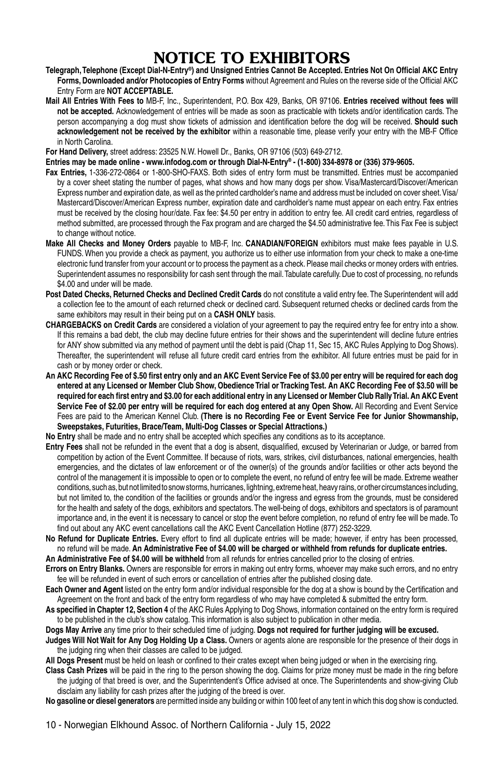### NOTICE TO EXHIBITORS

- **Telegraph, Telephone (Except Dial-N-Entry®) and Unsigned Entries Cannot Be Accepted. Entries Not On Official AKC Entry Forms, Downloaded and/or Photocopies of Entry Forms** without Agreement and Rules on the reverse side of the Official AKC Entry Form are **NOT ACCEPTABLE.**
- **Mail All Entries With Fees to** MB-F, Inc., Superintendent, P.O. Box 429, Banks, OR 97106. **Entries received without fees will not be accepted.** Acknowledgement of entries will be made as soon as practicable with tickets and/or identification cards. The person accompanying a dog must show tickets of admission and identification before the dog will be received. **Should such acknowledgement not be received by the exhibitor** within a reasonable time, please verify your entry with the MB-F Office in North Carolina.

**For Hand Delivery,** street address: 23525 N.W. Howell Dr., Banks, OR 97106 (503) 649-2712.

**Entries may be made online - www.infodog.com or through Dial-N-Entry® - (1-800) 334-8978 or (336) 379-9605.**

- **Fax Entries,** 1-336-272-0864 or 1-800-SHO-FAXS. Both sides of entry form must be transmitted. Entries must be accompanied by a cover sheet stating the number of pages, what shows and how many dogs per show. Visa/Mastercard/Discover/American Express number and expiration date, as well as the printed cardholder's name and address must be included on cover sheet. Visa/ Mastercard/Discover/American Express number, expiration date and cardholder's name must appear on each entry. Fax entries must be received by the closing hour/date. Fax fee: \$4.50 per entry in addition to entry fee. All credit card entries, regardless of method submitted, are processed through the Fax program and are charged the \$4.50 administrative fee. This Fax Fee is subject to change without notice.
- **Make All Checks and Money Orders** payable to MB-F, Inc. **CANADIAN/FOREIGN** exhibitors must make fees payable in U.S. FUNDS. When you provide a check as payment, you authorize us to either use information from your check to make a one-time electronic fund transfer from your account or to process the payment as a check. Please mail checks or money orders with entries. Superintendent assumes no responsibility for cash sent through the mail. Tabulate carefully. Due to cost of processing, no refunds \$4.00 and under will be made.
- **Post Dated Checks, Returned Checks and Declined Credit Cards** do not constitute a valid entry fee. The Superintendent will add a collection fee to the amount of each returned check or declined card. Subsequent returned checks or declined cards from the same exhibitors may result in their being put on a **CASH ONLY** basis.
- **CHARGEBACKS on Credit Cards** are considered a violation of your agreement to pay the required entry fee for entry into a show. If this remains a bad debt, the club may decline future entries for their shows and the superintendent will decline future entries for ANY show submitted via any method of payment until the debt is paid (Chap 11, Sec 15, AKC Rules Applying to Dog Shows). Thereafter, the superintendent will refuse all future credit card entries from the exhibitor. All future entries must be paid for in cash or by money order or check.
- **An AKC Recording Fee of \$.50 first entry only and an AKC Event Service Fee of \$3.00 per entry will be required for each dog entered at any Licensed or Member Club Show, Obedience Trial or Tracking Test. An AKC Recording Fee of \$3.50 will be required for each first entry and \$3.00 for each additional entry in any Licensed or Member Club Rally Trial. An AKC Event**  Service Fee of \$2.00 per entry will be required for each dog entered at any Open Show. All Recording and Event Service Fees are paid to the American Kennel Club. **(There is no Recording Fee or Event Service Fee for Junior Showmanship, Sweepstakes, Futurities, Brace/Team, Multi-Dog Classes or Special Attractions.)**
- **No Entry** shall be made and no entry shall be accepted which specifies any conditions as to its acceptance.
- **Entry Fees** shall not be refunded in the event that a dog is absent, disqualified, excused by Veterinarian or Judge, or barred from competition by action of the Event Committee. If because of riots, wars, strikes, civil disturbances, national emergencies, health emergencies, and the dictates of law enforcement or of the owner(s) of the grounds and/or facilities or other acts beyond the control of the management it is impossible to open or to complete the event, no refund of entry fee will be made. Extreme weather conditions, such as, but not limited to snow storms, hurricanes, lightning, extreme heat, heavy rains, or other circumstances including, but not limited to, the condition of the facilities or grounds and/or the ingress and egress from the grounds, must be considered for the health and safety of the dogs, exhibitors and spectators. The well-being of dogs, exhibitors and spectators is of paramount importance and, in the event it is necessary to cancel or stop the event before completion, no refund of entry fee will be made. To find out about any AKC event cancellations call the AKC Event Cancellation Hotline (877) 252-3229.
- **No Refund for Duplicate Entries.** Every effort to find all duplicate entries will be made; however, if entry has been processed, no refund will be made. **An Administrative Fee of \$4.00 will be charged or withheld from refunds for duplicate entries.**
- **An Administrative Fee of \$4.00 will be withheld** from all refunds for entries cancelled prior to the closing of entries. **Errors on Entry Blanks.** Owners are responsible for errors in making out entry forms, whoever may make such errors, and no entry
- fee will be refunded in event of such errors or cancellation of entries after the published closing date. **Each Owner and Agent** listed on the entry form and/or individual responsible for the dog at a show is bound by the Certification and
- Agreement on the front and back of the entry form regardless of who may have completed & submitted the entry form.
- **As specified in Chapter 12, Section 4** of the AKC Rules Applying to Dog Shows, information contained on the entry form is required to be published in the club's show catalog. This information is also subject to publication in other media.

#### **Dogs May Arrive** any time prior to their scheduled time of judging. **Dogs not required for further judging will be excused.**

**Judges Will Not Wait for Any Dog Holding Up a Class.** Owners or agents alone are responsible for the presence of their dogs in the judging ring when their classes are called to be judged.

**All Dogs Present** must be held on leash or confined to their crates except when being judged or when in the exercising ring.

**Class Cash Prizes** will be paid in the ring to the person showing the dog. Claims for prize money must be made in the ring before the judging of that breed is over, and the Superintendent's Office advised at once. The Superintendents and show-giving Club disclaim any liability for cash prizes after the judging of the breed is over.

**No gasoline or diesel generators** are permitted inside any building or within 100 feet of any tent in which this dog show is conducted.

10 - Norwegian Elkhound Assoc. of Northern California - July 15, 2022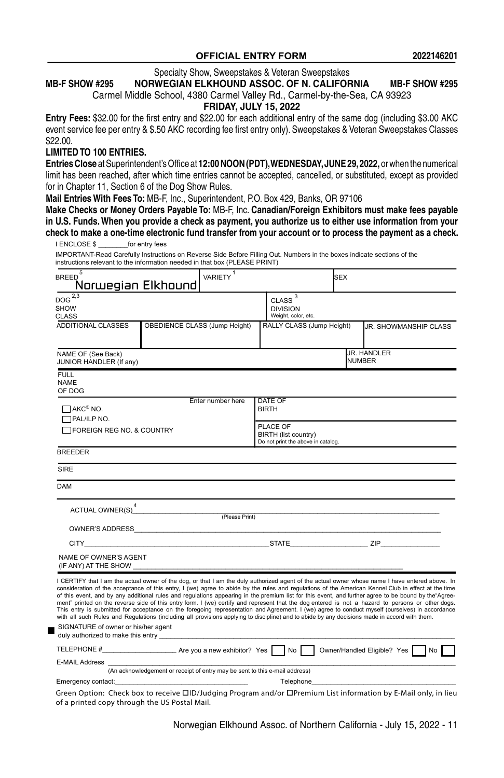#### **OFFICIAL ENTRY FORM**

Specialty Show, Sweepstakes & Veteran Sweepstakes

#### **MB-F SHOW #295 NORWEGIAN ELKHOUND ASSOC. OF N. CALIFORNIA MB-F SHOW #295**

Carmel Middle School, 4380 Carmel Valley Rd., Carmel-by-the-Sea, CA 93923

#### **FRIDAY, JULY 15, 2022**

**Entry Fees:** \$32.00 for the first entry and \$22.00 for each additional entry of the same dog (including \$3.00 AKC event service fee per entry & \$.50 AKC recording fee first entry only). Sweepstakes & Veteran Sweepstakes Classes \$22.00.

#### **LIMITED TO 100 ENTRIES.**

**Entries Close** at Superintendent's Office at **12:00 Noon (PDT), WEDNESDAY, JUNE 29, 2022,** or when the numerical limit has been reached, after which time entries cannot be accepted, cancelled, or substituted, except as provided for in Chapter 11, Section 6 of the Dog Show Rules.

**Mail Entries With Fees To:** MB-F, Inc., Superintendent, P.O. Box 429, Banks, OR 97106

┓

Make Checks or Money Orders Payable To: MB-F, Inc. Canadian/Foreign Exhibitors must make fees payable in U.S. Funds. When you provide a check as payment, you authorize us to either use information from your check to make a one-time electronic fund transfer from your account or to process the payment as a check. I ENCLOSE \$ for entry fees

INPORTANT-Read Carefully Instructions on Reverse Side Before Filling Out. Numbers in the boxes indicate sections of the<br>IMPORTANT-Read Carefully Instructions on Reverse Side Before Filling Out. Numbers in the boxes indicat instructions relevant to the information needed in that box (PLEASE PRINT)

| 5<br><b>BREED</b><br>Norwegian Elkhound               | <b>VARIETY</b>                                                                                                                                                                                                                                                                                                                                                                                                                                                                                                                                                                                                                                                                                                                                                                                                                                                                                                                                               |                                                                        | <b>SEX</b> |                                                                                                                                                                                                                                |
|-------------------------------------------------------|--------------------------------------------------------------------------------------------------------------------------------------------------------------------------------------------------------------------------------------------------------------------------------------------------------------------------------------------------------------------------------------------------------------------------------------------------------------------------------------------------------------------------------------------------------------------------------------------------------------------------------------------------------------------------------------------------------------------------------------------------------------------------------------------------------------------------------------------------------------------------------------------------------------------------------------------------------------|------------------------------------------------------------------------|------------|--------------------------------------------------------------------------------------------------------------------------------------------------------------------------------------------------------------------------------|
| $DOG^{\overline{2,3}}$<br><b>SHOW</b><br><b>CLASS</b> |                                                                                                                                                                                                                                                                                                                                                                                                                                                                                                                                                                                                                                                                                                                                                                                                                                                                                                                                                              | $CLASS$ $^3$<br><b>DIVISION</b><br>Weight, color, etc.                 |            |                                                                                                                                                                                                                                |
| <b>ADDITIONAL CLASSES</b>                             | OBEDIENCE CLASS (Jump Height)                                                                                                                                                                                                                                                                                                                                                                                                                                                                                                                                                                                                                                                                                                                                                                                                                                                                                                                                | RALLY CLASS (Jump Height)                                              |            | JR. SHOWMANSHIP CLASS                                                                                                                                                                                                          |
| NAME OF (See Back)<br>JUNIOR HANDLER (If any)         |                                                                                                                                                                                                                                                                                                                                                                                                                                                                                                                                                                                                                                                                                                                                                                                                                                                                                                                                                              |                                                                        |            | <b>JR. HANDLER</b><br><b>NUMBER</b>                                                                                                                                                                                            |
| <b>FULL</b><br><b>NAME</b><br>OF DOG                  |                                                                                                                                                                                                                                                                                                                                                                                                                                                                                                                                                                                                                                                                                                                                                                                                                                                                                                                                                              |                                                                        |            |                                                                                                                                                                                                                                |
| $\Box$ AKC® NO.<br><b>TRAL/ILP NO.</b>                | Enter number here                                                                                                                                                                                                                                                                                                                                                                                                                                                                                                                                                                                                                                                                                                                                                                                                                                                                                                                                            | DATE OF<br><b>BIRTH</b>                                                |            |                                                                                                                                                                                                                                |
| FOREIGN REG NO. & COUNTRY                             |                                                                                                                                                                                                                                                                                                                                                                                                                                                                                                                                                                                                                                                                                                                                                                                                                                                                                                                                                              | PLACE OF<br>BIRTH (list country)<br>Do not print the above in catalog. |            |                                                                                                                                                                                                                                |
| <b>BREEDER</b>                                        |                                                                                                                                                                                                                                                                                                                                                                                                                                                                                                                                                                                                                                                                                                                                                                                                                                                                                                                                                              |                                                                        |            |                                                                                                                                                                                                                                |
| SIRF                                                  |                                                                                                                                                                                                                                                                                                                                                                                                                                                                                                                                                                                                                                                                                                                                                                                                                                                                                                                                                              |                                                                        |            |                                                                                                                                                                                                                                |
| <b>DAM</b>                                            |                                                                                                                                                                                                                                                                                                                                                                                                                                                                                                                                                                                                                                                                                                                                                                                                                                                                                                                                                              |                                                                        |            |                                                                                                                                                                                                                                |
|                                                       | $\begin{picture}(160,10) \put(0,0){\line(1,0){10}} \put(10,0){\line(1,0){10}} \put(10,0){\line(1,0){10}} \put(10,0){\line(1,0){10}} \put(10,0){\line(1,0){10}} \put(10,0){\line(1,0){10}} \put(10,0){\line(1,0){10}} \put(10,0){\line(1,0){10}} \put(10,0){\line(1,0){10}} \put(10,0){\line(1,0){10}} \put(10,0){\line(1,0){10}} \put(10,0){\line($                                                                                                                                                                                                                                                                                                                                                                                                                                                                                                                                                                                                          |                                                                        |            |                                                                                                                                                                                                                                |
|                                                       | OWNER'S ADDRESS AND ALL AND A CONTROL CONTROL CONTROL CONTROL CONTROL CONTROL CONTROL CONTROL CONTROL CONTROL CONTROL CONTROL CONTROL CONTROL CONTROL CONTROL CONTROL CONTROL CONTROL CONTROL CONTROL CONTROL CONTROL CONTROL                                                                                                                                                                                                                                                                                                                                                                                                                                                                                                                                                                                                                                                                                                                                |                                                                        |            |                                                                                                                                                                                                                                |
|                                                       | CITY ZIP                                                                                                                                                                                                                                                                                                                                                                                                                                                                                                                                                                                                                                                                                                                                                                                                                                                                                                                                                     |                                                                        |            |                                                                                                                                                                                                                                |
| NAME OF OWNER'S AGENT<br>(IF ANY) AT THE SHOW         |                                                                                                                                                                                                                                                                                                                                                                                                                                                                                                                                                                                                                                                                                                                                                                                                                                                                                                                                                              |                                                                        |            |                                                                                                                                                                                                                                |
| SIGNATURE of owner or his/her agent                   | I CERTIFY that I am the actual owner of the dog, or that I am the duly authorized agent of the actual owner whose name I have entered above. In<br>consideration of the acceptance of this entry, I (we) agree to abide by the rules and regulations of the American Kennel Club in effect at the time<br>of this event, and by any additional rules and regulations appearing in the premium list for this event, and further agree to be bound by the Agree-<br>ment" printed on the reverse side of this entry form. I (we) certify and represent that the dog entered is not a hazard to persons or other dogs.<br>This entry is submitted for acceptance on the foregoing representation and Agreement. I (we) agree to conduct myself (ourselves) in accordance<br>with all such Rules and Regulations (including all provisions applying to discipline) and to abide by any decisions made in accord with them.<br>duly authorized to make this entry |                                                                        |            |                                                                                                                                                                                                                                |
|                                                       | TELEPHONE #______________________________Are you a new exhibitor? Yes \Rightarrow Owner/Handled Eligible? Yes \Rightarrow                                                                                                                                                                                                                                                                                                                                                                                                                                                                                                                                                                                                                                                                                                                                                                                                                                    |                                                                        |            |                                                                                                                                                                                                                                |
| E-MAIL Address                                        | (An acknowledgement or receipt of entry may be sent to this e-mail address)                                                                                                                                                                                                                                                                                                                                                                                                                                                                                                                                                                                                                                                                                                                                                                                                                                                                                  |                                                                        |            |                                                                                                                                                                                                                                |
| Emergency contact: Emergency contact:                 |                                                                                                                                                                                                                                                                                                                                                                                                                                                                                                                                                                                                                                                                                                                                                                                                                                                                                                                                                              |                                                                        |            | Telephone experience and the contract of the contract of the contract of the contract of the contract of the contract of the contract of the contract of the contract of the contract of the contract of the contract of the c |
|                                                       |                                                                                                                                                                                                                                                                                                                                                                                                                                                                                                                                                                                                                                                                                                                                                                                                                                                                                                                                                              |                                                                        |            |                                                                                                                                                                                                                                |

Green Option: Check box to receive  $\Box$ ID/Judging Program and/or  $\Box$ Premium List information by E-Mail only, in lieu of a printed copy through the US Postal Mail.